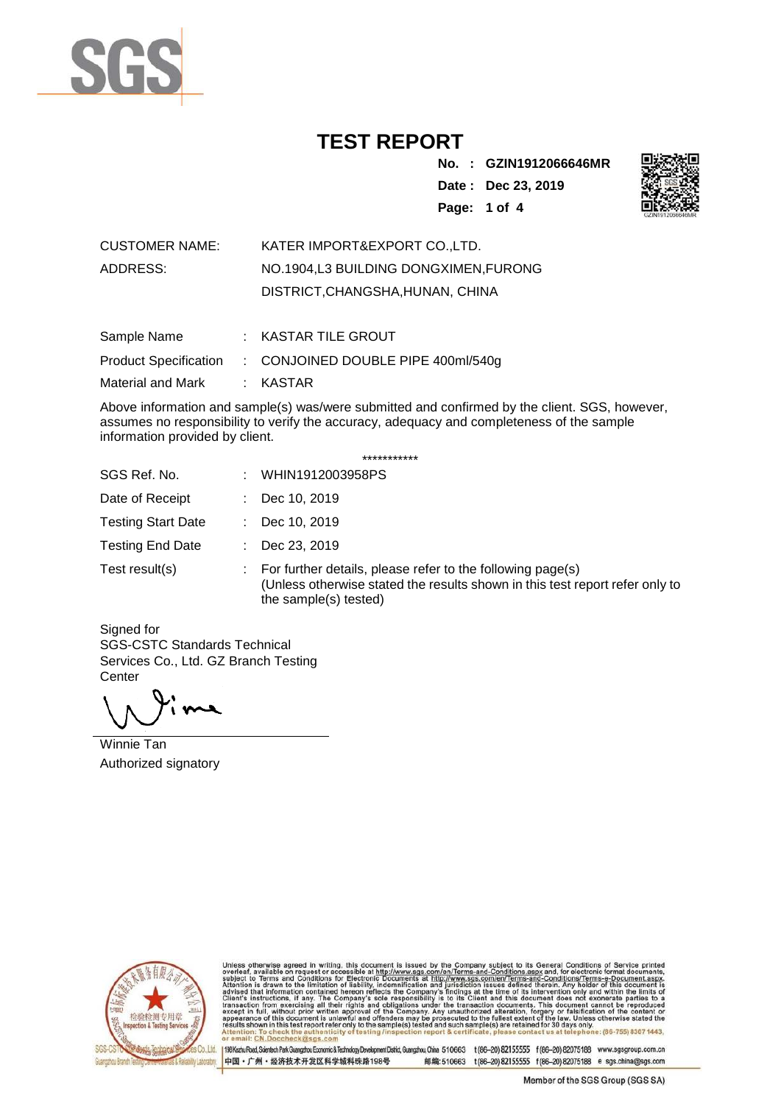

**No. : GZIN1912066646MR Date : Dec 23, 2019 Page: 1 of 4** 



| <b>CUSTOMER NAME:</b> | KATER IMPORT&EXPORT COLTD.           |
|-----------------------|--------------------------------------|
| ADDRESS:              | NO.1904.L3 BUILDING DONGXIMEN.FURONG |
|                       | DISTRICT, CHANGSHA, HUNAN, CHINA     |

| Sample Name       | : KASTAR TILE GROUT                                      |
|-------------------|----------------------------------------------------------|
|                   | Product Specification : CONJOINED DOUBLE PIPE 400ml/540g |
| Material and Mark | : KASTAR                                                 |

Above information and sample(s) was/were submitted and confirmed by the client. SGS, however, assumes no responsibility to verify the accuracy, adequacy and completeness of the sample information provided by client.

| *********** |  |
|-------------|--|
|-------------|--|

| SGS Ref. No.              | ÷. | WHIN1912003958PS                                                                                                                                                                 |
|---------------------------|----|----------------------------------------------------------------------------------------------------------------------------------------------------------------------------------|
| Date of Receipt           |    | Dec 10, 2019                                                                                                                                                                     |
| <b>Testing Start Date</b> | ÷. | Dec 10, 2019                                                                                                                                                                     |
| <b>Testing End Date</b>   | ÷. | Dec 23, 2019                                                                                                                                                                     |
| Test result(s)            |    | $\therefore$ For further details, please refer to the following page(s)<br>(Unless otherwise stated the results shown in this test report refer only to<br>the sample(s) tested) |

Signed for SGS-CSTC Standards Technical Services Co., Ltd. GZ Branch Testing **Center** 

Winnie Tan Authorized signatory



Unless otherwise agreed in writing, this document is issued by the Company subject to its General Conditions of Service printed overleaf, available on request or accessible at http://www.sgs.com/en/Terms-and-Conditions.as

Co.,Ltd. | 198 Kezhu Road, Scientech Park Guangzhou Economic & Technology Development District, Guangzhou, China 510663 t (86-20) 82155555 f (86-20) 82075188 www.sgsgroup.com.cn 中国·广州·经济技术开发区科学城科珠路198号 邮编:510663 t(86-20) 82155555 f(86-20) 82075188 e sgs.china@sgs.com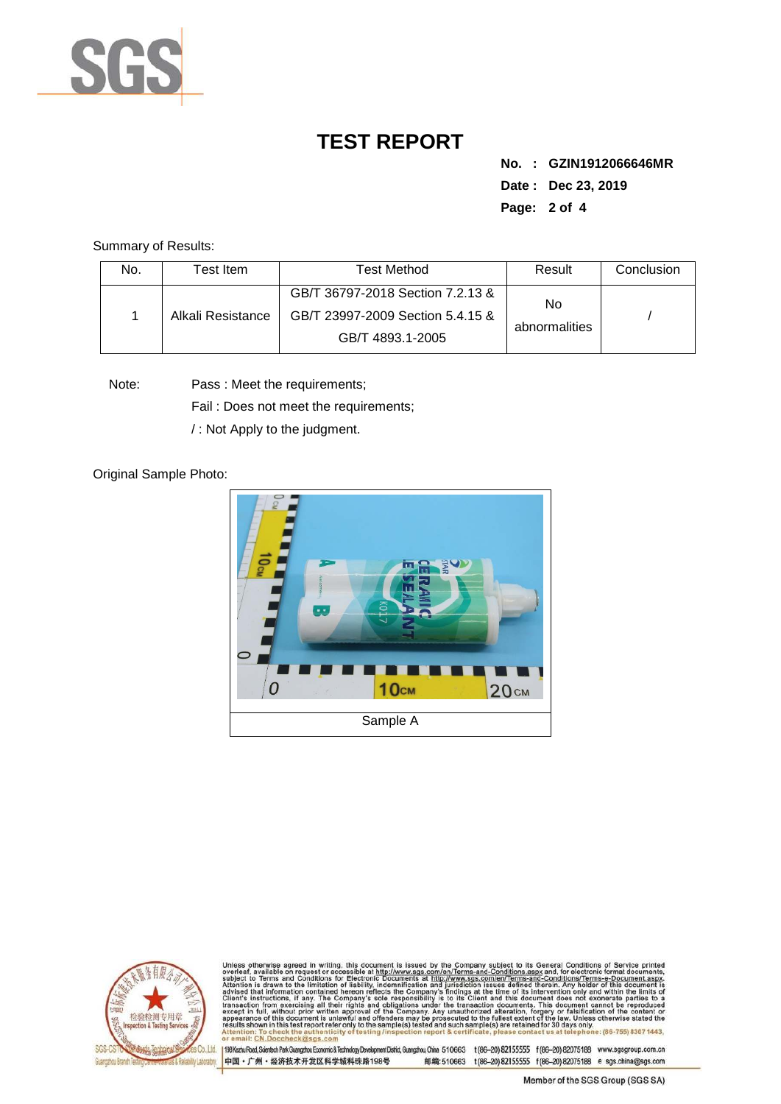

**No. : GZIN1912066646MR Date : Dec 23, 2019 Page: 2 of 4** 

Summary of Results:

| No. | Гest Item.        | <b>Test Method</b>                                                                       | Result               | Conclusion |
|-----|-------------------|------------------------------------------------------------------------------------------|----------------------|------------|
|     | Alkali Resistance | GB/T 36797-2018 Section 7.2.13 &<br>GB/T 23997-2009 Section 5.4.15 &<br>GB/T 4893.1-2005 | No.<br>abnormalities |            |

Note: Pass : Meet the requirements;

Fail : Does not meet the requirements;

/ : Not Apply to the judgment.

Original Sample Photo:





Unless otherwise agreed in writing, this document is issued by the Company subject to its General Conditions of Service printed overleaf, available on request or accessible at http://www.sgs.com/en/Terms-and-Conditions.asp CN.Doccheck@sgs.com

198 Kezhu Road, Scientech Park Guangzhou Economic & Technology Development District, Guangzhou, China 510663 t (86-20) 82155555 f (86-20) 82075188 www.sgsgroup.com.cn 中国·广州·经济技术开发区科学城科珠路198号 邮编:510663 t(86-20) 82155555 f(86-20) 82075188 e sgs.china@sgs.com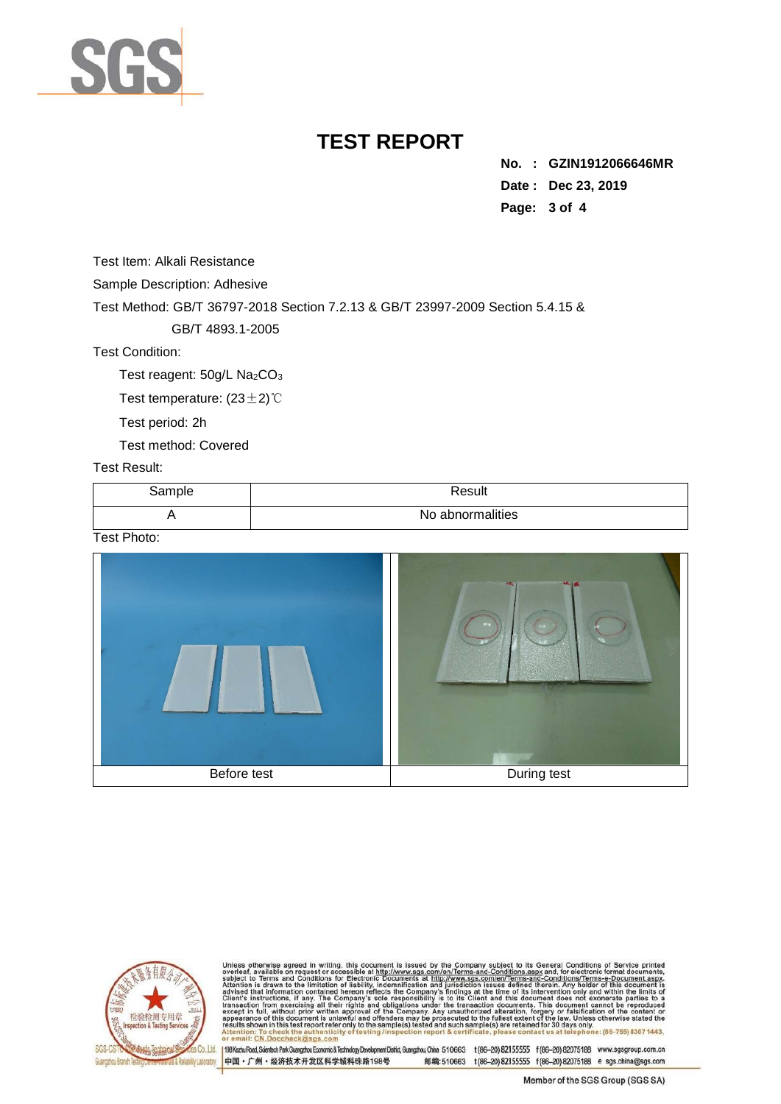

**No. : GZIN1912066646MR Date : Dec 23, 2019 Page: 3 of 4** 

Test Item: Alkali Resistance

Sample Description: Adhesive

Test Method: GB/T 36797-2018 Section 7.2.13 & GB/T 23997-2009 Section 5.4.15 &

GB/T 4893.1-2005

Test Condition:

Test reagent: 50g/L Na<sub>2</sub>CO<sub>3</sub>

Test temperature: (23±2)℃

Test period: 2h

Test method: Covered

Test Result:

| Sample | Result           |
|--------|------------------|
|        | No abnormalities |

Test Photo:





Unless otherwise agreed in writing, this document is issued by the Company subject to its General Conditions of Service printed overleaf, available on request or accessible at http://www.sgs.com/en/Terms-and-Conditions.as

Co.,Ltd. | 198 Kezhu Road, Scientech Park Guangzhou Economic & Technology Development District, Guangzhou, China 510663 t (86-20) 82155555 f (86-20) 82075188 www.sgsgroup.com.cn 中国·广州·经济技术开发区科学城科珠路198号 邮编:510663 t(86-20) 82155555 f(86-20) 82075188 e sgs.china@sgs.com